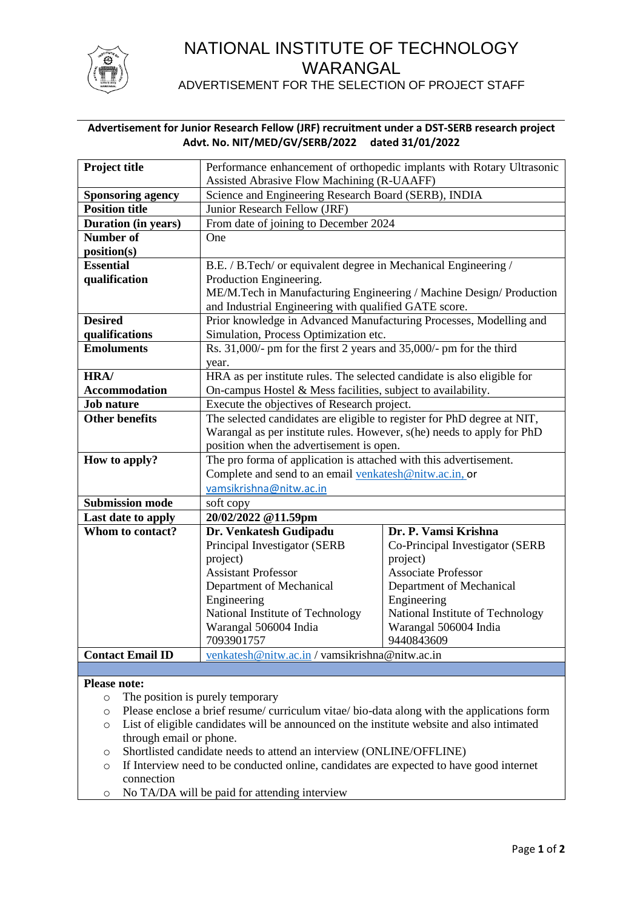

# NATIONAL INSTITUTE OF TECHNOLOGY WARANGAL

ADVERTISEMENT FOR THE SELECTION OF PROJECT STAFF

# **Advertisement for Junior Research Fellow (JRF) recruitment under a DST-SERB research project Advt. No. NIT/MED/GV/SERB/2022 dated 31/01/2022**

| Project title            | Performance enhancement of orthopedic implants with Rotary Ultrasonic   |                                  |  |  |
|--------------------------|-------------------------------------------------------------------------|----------------------------------|--|--|
|                          | Assisted Abrasive Flow Machining (R-UAAFF)                              |                                  |  |  |
| <b>Sponsoring agency</b> | Science and Engineering Research Board (SERB), INDIA                    |                                  |  |  |
| <b>Position title</b>    | Junior Research Fellow (JRF)                                            |                                  |  |  |
| Duration (in years)      | From date of joining to December 2024                                   |                                  |  |  |
| Number of                | One                                                                     |                                  |  |  |
| position(s)              |                                                                         |                                  |  |  |
| <b>Essential</b>         | B.E. / B.Tech/ or equivalent degree in Mechanical Engineering /         |                                  |  |  |
| qualification            | Production Engineering.                                                 |                                  |  |  |
|                          | ME/M.Tech in Manufacturing Engineering / Machine Design/ Production     |                                  |  |  |
|                          | and Industrial Engineering with qualified GATE score.                   |                                  |  |  |
| <b>Desired</b>           | Prior knowledge in Advanced Manufacturing Processes, Modelling and      |                                  |  |  |
| qualifications           | Simulation, Process Optimization etc.                                   |                                  |  |  |
| <b>Emoluments</b>        | Rs. 31,000/- pm for the first 2 years and 35,000/- pm for the third     |                                  |  |  |
|                          | year.                                                                   |                                  |  |  |
| HRA/                     | HRA as per institute rules. The selected candidate is also eligible for |                                  |  |  |
| <b>Accommodation</b>     | On-campus Hostel & Mess facilities, subject to availability.            |                                  |  |  |
| <b>Job nature</b>        | Execute the objectives of Research project.                             |                                  |  |  |
| <b>Other benefits</b>    | The selected candidates are eligible to register for PhD degree at NIT, |                                  |  |  |
|                          | Warangal as per institute rules. However, s(he) needs to apply for PhD  |                                  |  |  |
|                          | position when the advertisement is open.                                |                                  |  |  |
| How to apply?            | The pro forma of application is attached with this advertisement.       |                                  |  |  |
|                          | Complete and send to an email venkatesh@nitw.ac.in, or                  |                                  |  |  |
|                          | vamsikrishna@nitw.ac.in                                                 |                                  |  |  |
| <b>Submission mode</b>   | soft copy                                                               |                                  |  |  |
| Last date to apply       | 20/02/2022 @11.59pm                                                     |                                  |  |  |
| Whom to contact?         | Dr. Venkatesh Gudipadu                                                  | Dr. P. Vamsi Krishna             |  |  |
|                          | Principal Investigator (SERB                                            | Co-Principal Investigator (SERB  |  |  |
|                          | project)                                                                | project)                         |  |  |
|                          | <b>Assistant Professor</b>                                              | <b>Associate Professor</b>       |  |  |
|                          | Department of Mechanical                                                | Department of Mechanical         |  |  |
|                          | Engineering                                                             | Engineering                      |  |  |
|                          | National Institute of Technology                                        | National Institute of Technology |  |  |
|                          | Warangal 506004 India                                                   | Warangal 506004 India            |  |  |
| <b>Contact Email ID</b>  | 7093901757                                                              | 9440843609                       |  |  |
|                          | venkatesh@nitw.ac.in / vamsikrishna@nitw.ac.in                          |                                  |  |  |
|                          |                                                                         |                                  |  |  |

# **Please note:**

- o The position is purely temporary
- o Please enclose a brief resume/ curriculum vitae/ bio-data along with the applications form
- o List of eligible candidates will be announced on the institute website and also intimated through email or phone.
- o Shortlisted candidate needs to attend an interview (ONLINE/OFFLINE)
- o If Interview need to be conducted online, candidates are expected to have good internet connection
- o No TA/DA will be paid for attending interview